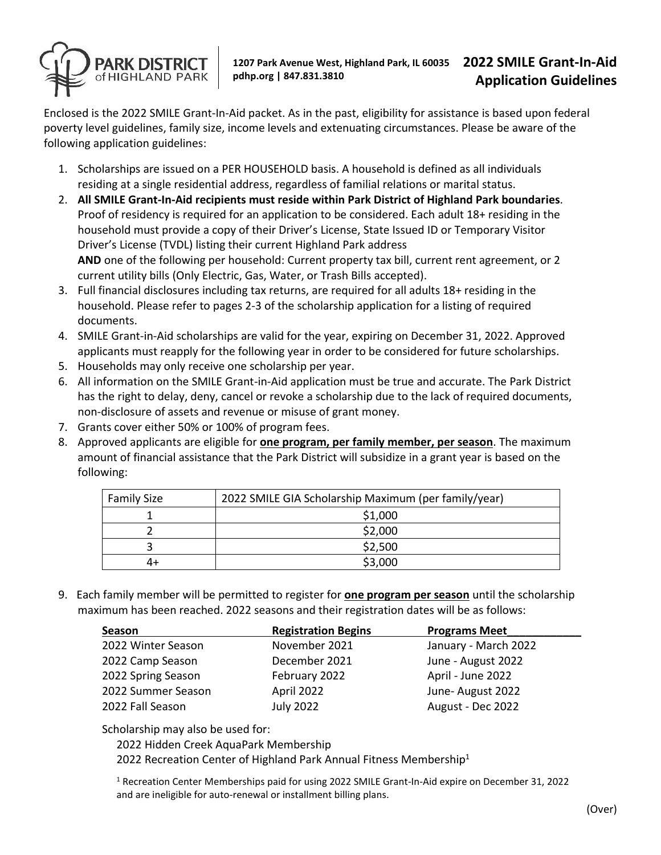

Enclosed is the 2022 SMILE Grant-In-Aid packet. As in the past, eligibility for assistance is based upon federal poverty level guidelines, family size, income levels and extenuating circumstances. Please be aware of the following application guidelines:

- 1. Scholarships are issued on a PER HOUSEHOLD basis. A household is defined as all individuals residing at a single residential address, regardless of familial relations or marital status.
- 2. **All SMILE Grant-In-Aid recipients must reside within Park District of Highland Park boundaries**. Proof of residency is required for an application to be considered. Each adult 18+ residing in the household must provide a copy of their Driver's License, State Issued ID or Temporary Visitor Driver's License (TVDL) listing their current Highland Park address **AND** one of the following per household: Current property tax bill, current rent agreement, or 2 current utility bills (Only Electric, Gas, Water, or Trash Bills accepted).
- 3. Full financial disclosures including tax returns, are required for all adults 18+ residing in the household. Please refer to pages 2-3 of the scholarship application for a listing of required documents.
- 4. SMILE Grant-in-Aid scholarships are valid for the year, expiring on December 31, 2022. Approved applicants must reapply for the following year in order to be considered for future scholarships.
- 5. Households may only receive one scholarship per year.
- 6. All information on the SMILE Grant-in-Aid application must be true and accurate. The Park District has the right to delay, deny, cancel or revoke a scholarship due to the lack of required documents, non-disclosure of assets and revenue or misuse of grant money.
- 7. Grants cover either 50% or 100% of program fees.
- 8. Approved applicants are eligible for **one program, per family member, per season**. The maximum amount of financial assistance that the Park District will subsidize in a grant year is based on the following:

| <b>Family Size</b> | 2022 SMILE GIA Scholarship Maximum (per family/year) |  |
|--------------------|------------------------------------------------------|--|
|                    | \$1,000                                              |  |
|                    | \$2,000                                              |  |
|                    | \$2,500                                              |  |
| 4+                 | \$3,000                                              |  |

9. Each family member will be permitted to register for **one program per season** until the scholarship maximum has been reached. 2022 seasons and their registration dates will be as follows:

| Season             | <b>Registration Begins</b> | <b>Programs Meet</b> |
|--------------------|----------------------------|----------------------|
| 2022 Winter Season | November 2021              | January - March 2022 |
| 2022 Camp Season   | December 2021              | June - August 2022   |
| 2022 Spring Season | February 2022              | April - June 2022    |
| 2022 Summer Season | April 2022                 | June-August 2022     |
| 2022 Fall Season   | <b>July 2022</b>           | August - Dec 2022    |

Scholarship may also be used for:

2022 Hidden Creek AquaPark Membership

2022 Recreation Center of Highland Park Annual Fitness Membership<sup>1</sup>

<sup>1</sup> Recreation Center Memberships paid for using 2022 SMILE Grant-In-Aid expire on December 31, 2022 and are ineligible for auto-renewal or installment billing plans.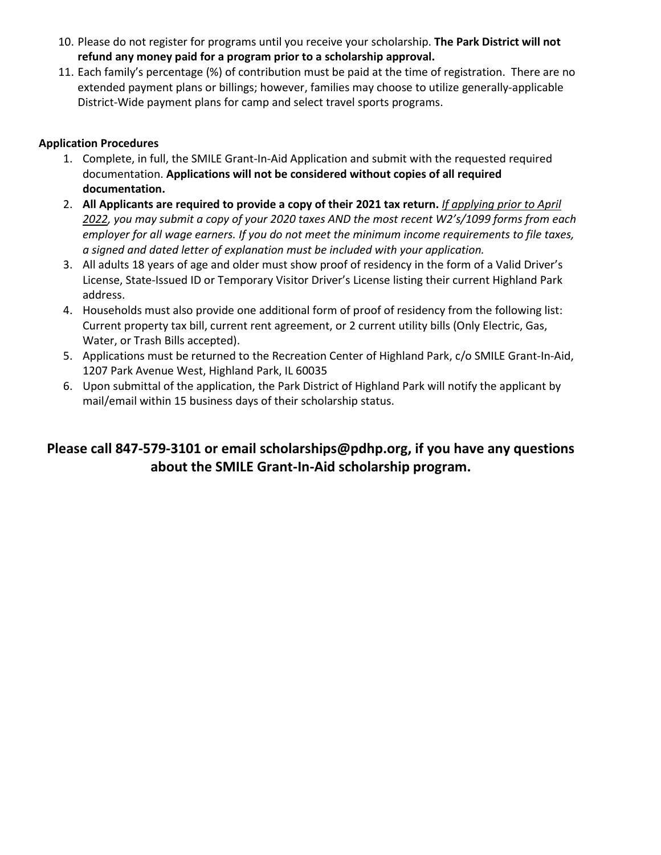- 10. Please do not register for programs until you receive your scholarship. **The Park District will not refund any money paid for a program prior to a scholarship approval.**
- 11. Each family's percentage (%) of contribution must be paid at the time of registration. There are no extended payment plans or billings; however, families may choose to utilize generally-applicable District-Wide payment plans for camp and select travel sports programs.

### **Application Procedures**

- 1. Complete, in full, the SMILE Grant-In-Aid Application and submit with the requested required documentation. **Applications will not be considered without copies of all required documentation.**
- 2. **All Applicants are required to provide a copy of their 2021 tax return.** *If applying prior to April 2022, you may submit a copy of your 2020 taxes AND the most recent W2's/1099 forms from each employer for all wage earners. If you do not meet the minimum income requirements to file taxes, a signed and dated letter of explanation must be included with your application.*
- 3. All adults 18 years of age and older must show proof of residency in the form of a Valid Driver's License, State-Issued ID or Temporary Visitor Driver's License listing their current Highland Park address.
- 4. Households must also provide one additional form of proof of residency from the following list: Current property tax bill, current rent agreement, or 2 current utility bills (Only Electric, Gas, Water, or Trash Bills accepted).
- 5. Applications must be returned to the Recreation Center of Highland Park, c/o SMILE Grant-In-Aid, 1207 Park Avenue West, Highland Park, IL 60035
- 6. Upon submittal of the application, the Park District of Highland Park will notify the applicant by mail/email within 15 business days of their scholarship status.

# **Please call 847-579-3101 or email scholarships@pdhp.org, if you have any questions about the SMILE Grant-In-Aid scholarship program.**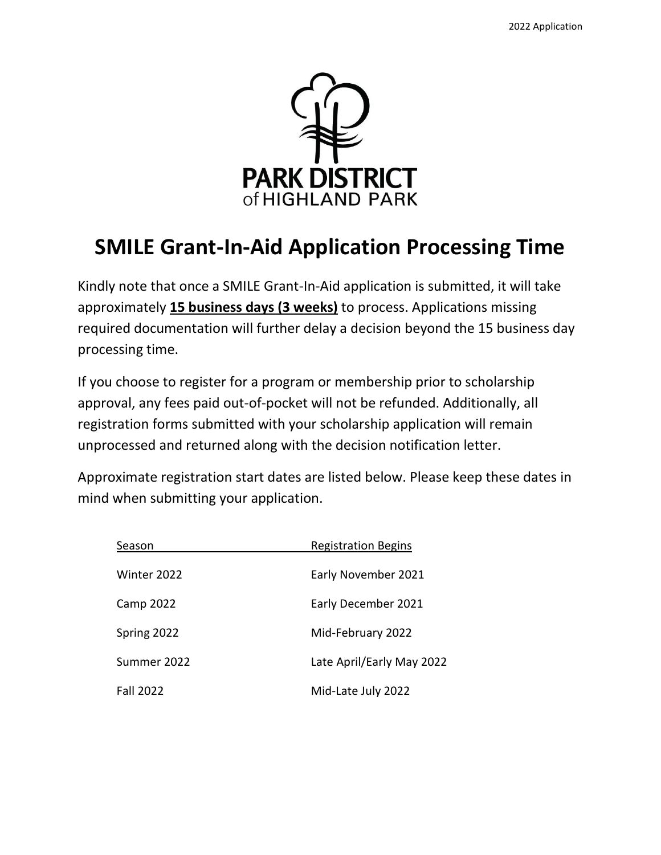

# **SMILE Grant-In-Aid Application Processing Time**

Kindly note that once a SMILE Grant-In-Aid application is submitted, it will take approximately **15 business days (3 weeks)** to process. Applications missing required documentation will further delay a decision beyond the 15 business day processing time.

If you choose to register for a program or membership prior to scholarship approval, any fees paid out-of-pocket will not be refunded. Additionally, all registration forms submitted with your scholarship application will remain unprocessed and returned along with the decision notification letter.

Approximate registration start dates are listed below. Please keep these dates in mind when submitting your application.

| Season           | <b>Registration Begins</b> |
|------------------|----------------------------|
| Winter 2022      | Early November 2021        |
| Camp 2022        | Early December 2021        |
| Spring 2022      | Mid-February 2022          |
| Summer 2022      | Late April/Early May 2022  |
| <b>Fall 2022</b> | Mid-Late July 2022         |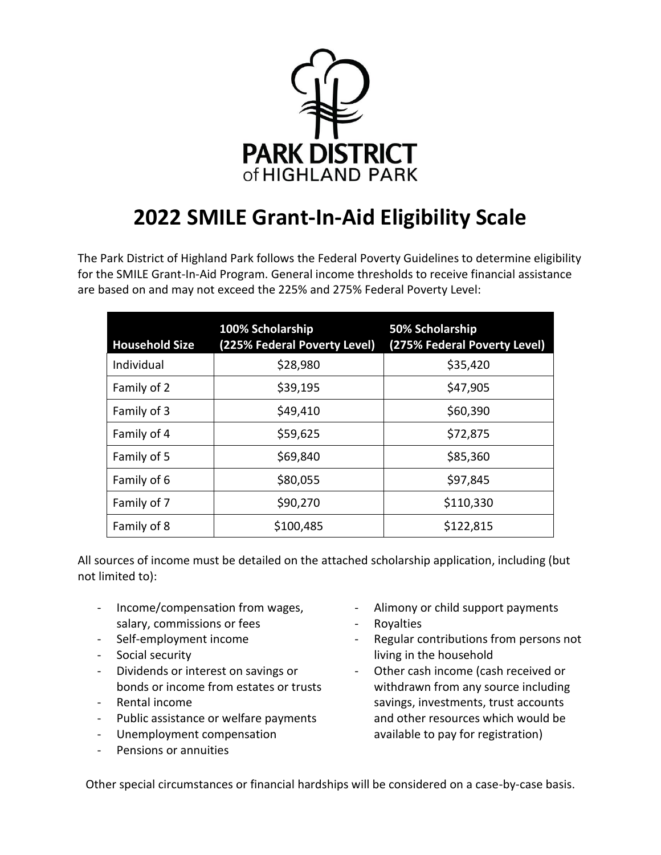

# **2022 SMILE Grant-In-Aid Eligibility Scale**

The Park District of Highland Park follows the Federal Poverty Guidelines to determine eligibility for the SMILE Grant-In-Aid Program. General income thresholds to receive financial assistance are based on and may not exceed the 225% and 275% Federal Poverty Level:

| <b>Household Size</b> | 100% Scholarship<br>(225% Federal Poverty Level) | 50% Scholarship<br>(275% Federal Poverty Level) |
|-----------------------|--------------------------------------------------|-------------------------------------------------|
| Individual            | \$28,980                                         | \$35,420                                        |
| Family of 2           | \$39,195                                         | \$47,905                                        |
| Family of 3           | \$49,410                                         | \$60,390                                        |
| Family of 4           | \$59,625                                         | \$72,875                                        |
| Family of 5           | \$69,840                                         | \$85,360                                        |
| Family of 6           | \$80,055                                         | \$97,845                                        |
| Family of 7           | \$90,270                                         | \$110,330                                       |
| Family of 8           | \$100,485                                        | \$122,815                                       |

All sources of income must be detailed on the attached scholarship application, including (but not limited to):

- Income/compensation from wages, salary, commissions or fees
- Self-employment income
- Social security
- Dividends or interest on savings or bonds or income from estates or trusts
- Rental income
- Public assistance or welfare payments
- Unemployment compensation
- Pensions or annuities
- Alimony or child support payments
- Royalties
- Regular contributions from persons not living in the household
- Other cash income (cash received or withdrawn from any source including savings, investments, trust accounts and other resources which would be available to pay for registration)

Other special circumstances or financial hardships will be considered on a case-by-case basis.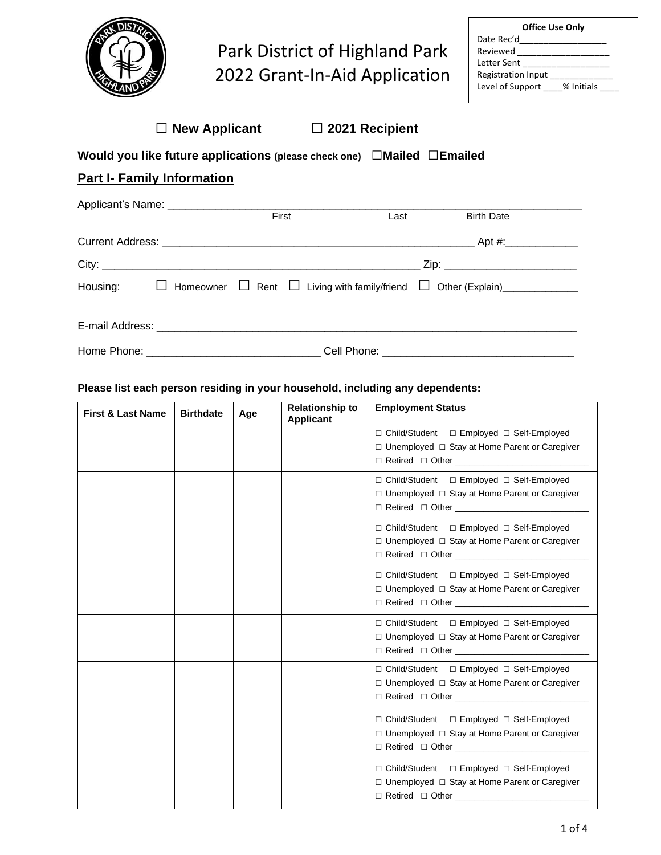

# Park District of Highland Park 2022 Grant-In-Aid Application

| <b>Office Use Only</b>         |  |  |  |  |
|--------------------------------|--|--|--|--|
| Date Rec'd                     |  |  |  |  |
| Reviewed                       |  |  |  |  |
| Letter Sent                    |  |  |  |  |
| <b>Registration Input</b>      |  |  |  |  |
| Level of Support<br>% Initials |  |  |  |  |

|  |  | $\Box$ New Applicant |  |
|--|--|----------------------|--|
|--|--|----------------------|--|

**□ New Applicant □ <sup>2021</sup> Recipient**

# **Would you like future applications (please check one)** □**Mailed** □**Emailed**

# **Part I- Family Information**

| Applicant's Name: ___________________________ |       |      |                                                                                                            |  |
|-----------------------------------------------|-------|------|------------------------------------------------------------------------------------------------------------|--|
|                                               | First | Last | <b>Birth Date</b>                                                                                          |  |
|                                               |       |      |                                                                                                            |  |
|                                               |       |      | _ Zip: ____________________________                                                                        |  |
|                                               |       |      | Housing: $\Box$ Homeowner $\Box$ Rent $\Box$ Living with family/friend $\Box$ Other (Explain) ____________ |  |
|                                               |       |      |                                                                                                            |  |
|                                               |       |      |                                                                                                            |  |

#### **Please list each person residing in your household, including any dependents:**

| <b>First &amp; Last Name</b> | <b>Birthdate</b> | Age | <b>Relationship to</b><br><b>Applicant</b> | <b>Employment Status</b>                                                                                                     |
|------------------------------|------------------|-----|--------------------------------------------|------------------------------------------------------------------------------------------------------------------------------|
|                              |                  |     |                                            | □ Child/Student □ Employed □ Self-Employed<br>$\Box$ Unemployed $\Box$ Stay at Home Parent or Caregiver                      |
|                              |                  |     |                                            | □ Child/Student □ Employed □ Self-Employed<br>$\Box$ Unemployed $\Box$ Stay at Home Parent or Caregiver                      |
|                              |                  |     |                                            | □ Child/Student □ Employed □ Self-Employed<br>□ Unemployed □ Stay at Home Parent or Caregiver<br>$\Box$ Retired $\Box$ Other |
|                              |                  |     |                                            | □ Child/Student □ Employed □ Self-Employed<br>$\Box$ Unemployed $\Box$ Stay at Home Parent or Caregiver                      |
|                              |                  |     |                                            | □ Child/Student □ Employed □ Self-Employed<br>□ Unemployed □ Stay at Home Parent or Caregiver<br>$\Box$ Retired $\Box$ Other |
|                              |                  |     |                                            | □ Child/Student □ Employed □ Self-Employed<br>□ Unemployed □ Stay at Home Parent or Caregiver                                |
|                              |                  |     |                                            | □ Child/Student □ Employed □ Self-Employed<br>□ Unemployed □ Stay at Home Parent or Caregiver<br>$\Box$ Retired $\Box$ Other |
|                              |                  |     |                                            | □ Child/Student □ Employed □ Self-Employed<br>□ Unemployed □ Stay at Home Parent or Caregiver                                |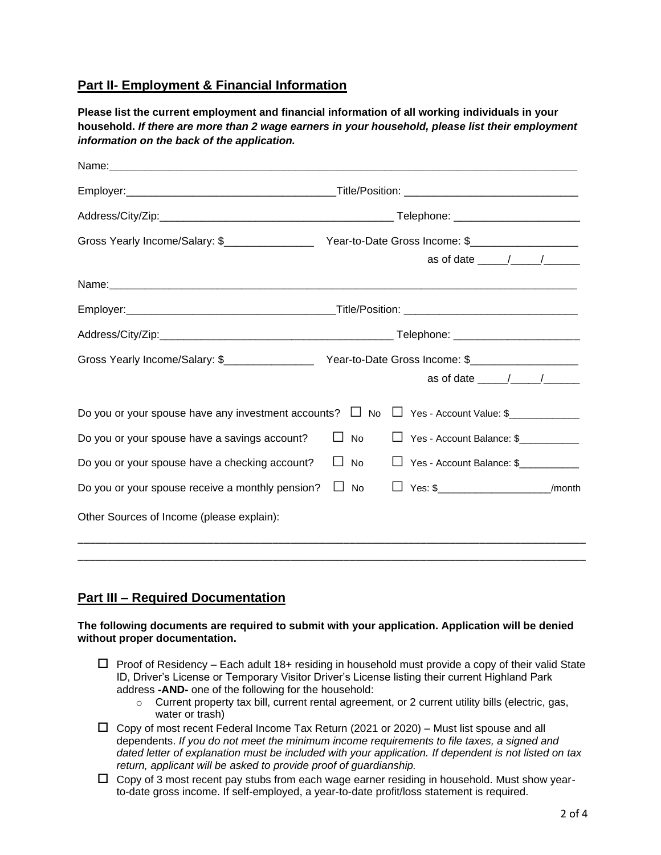# **Part II- Employment & Financial Information**

**Please list the current employment and financial information of all working individuals in your household.** *If there are more than 2 wage earners in your household, please list their employment information on the back of the application.* 

|                                                                                              |           | as of date $\frac{1}{\sqrt{1-\frac{1}{2}}}\left(1-\frac{1}{2}\right)$ |  |
|----------------------------------------------------------------------------------------------|-----------|-----------------------------------------------------------------------|--|
|                                                                                              |           |                                                                       |  |
|                                                                                              |           |                                                                       |  |
|                                                                                              |           |                                                                       |  |
|                                                                                              |           |                                                                       |  |
|                                                                                              |           | as of date $\frac{1}{\sqrt{1-\frac{1}{2}}}\left(1-\frac{1}{2}\right)$ |  |
| Do you or your spouse have any investment accounts? $\Box$ No $\Box$ Yes - Account Value: \$ |           |                                                                       |  |
| Do you or your spouse have a savings account?                                                | <b>No</b> | □ Yes - Account Balance: \$                                           |  |
| Do you or your spouse have a checking account?                                               | No        | □ Yes - Account Balance: \$                                           |  |
| Do you or your spouse receive a monthly pension?                                             | $\Box$ No | $\Box$ Yes: \$____________________________/month                      |  |
| Other Sources of Income (please explain):                                                    |           |                                                                       |  |
|                                                                                              |           |                                                                       |  |

## **Part III – Required Documentation**

#### **The following documents are required to submit with your application. Application will be denied without proper documentation.**

- $\Box$  Proof of Residency Each adult 18+ residing in household must provide a copy of their valid State ID, Driver's License or Temporary Visitor Driver's License listing their current Highland Park address **-AND-** one of the following for the household:
	- $\circ$  Current property tax bill, current rental agreement, or 2 current utility bills (electric, gas, water or trash)
- $\Box$  Copy of most recent Federal Income Tax Return (2021 or 2020) Must list spouse and all dependents. *If you do not meet the minimum income requirements to file taxes, a signed and dated letter of explanation must be included with your application. If dependent is not listed on tax return, applicant will be asked to provide proof of guardianship.*
- $\Box$  Copy of 3 most recent pay stubs from each wage earner residing in household. Must show yearto-date gross income. If self-employed, a year-to-date profit/loss statement is required.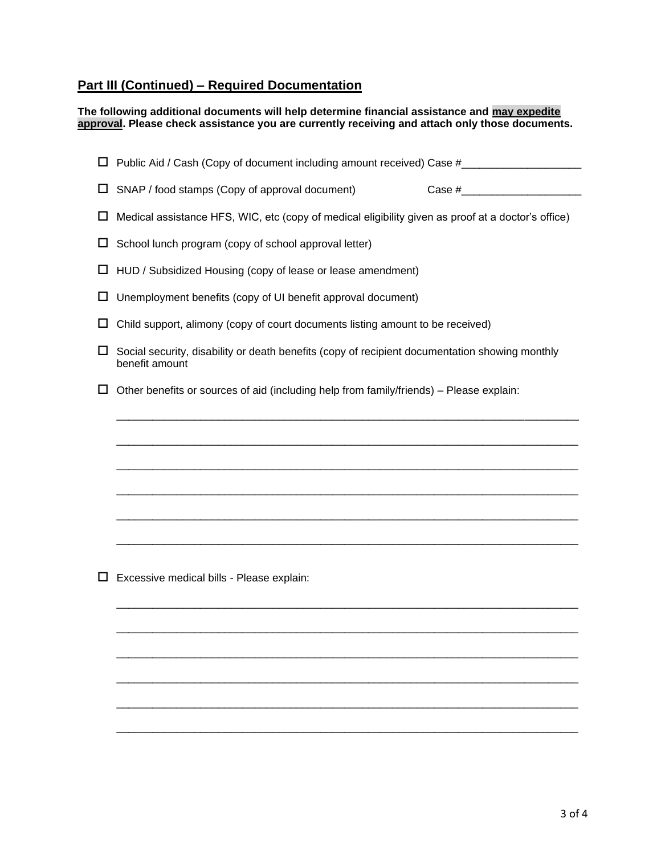# **Part III (Continued) – Required Documentation**

**The following additional documents will help determine financial assistance and may expedite approval. Please check assistance you are currently receiving and attach only those documents.**

| ப | Public Aid / Cash (Copy of document including amount received) Case #_______________________________             |  |  |  |  |
|---|------------------------------------------------------------------------------------------------------------------|--|--|--|--|
| ப | SNAP / food stamps (Copy of approval document)                                                                   |  |  |  |  |
| ⊔ | Medical assistance HFS, WIC, etc (copy of medical eligibility given as proof at a doctor's office)               |  |  |  |  |
| ⊔ | School lunch program (copy of school approval letter)                                                            |  |  |  |  |
| ⊔ | HUD / Subsidized Housing (copy of lease or lease amendment)                                                      |  |  |  |  |
| ⊔ | Unemployment benefits (copy of UI benefit approval document)                                                     |  |  |  |  |
| □ | Child support, alimony (copy of court documents listing amount to be received)                                   |  |  |  |  |
| ப | Social security, disability or death benefits (copy of recipient documentation showing monthly<br>benefit amount |  |  |  |  |
| ப | Other benefits or sources of aid (including help from family/friends) - Please explain:                          |  |  |  |  |
|   |                                                                                                                  |  |  |  |  |
|   |                                                                                                                  |  |  |  |  |
|   |                                                                                                                  |  |  |  |  |
|   |                                                                                                                  |  |  |  |  |
|   |                                                                                                                  |  |  |  |  |
|   |                                                                                                                  |  |  |  |  |
|   |                                                                                                                  |  |  |  |  |
|   | Excessive medical bills - Please explain:                                                                        |  |  |  |  |
|   |                                                                                                                  |  |  |  |  |
|   |                                                                                                                  |  |  |  |  |
|   |                                                                                                                  |  |  |  |  |
|   |                                                                                                                  |  |  |  |  |
|   |                                                                                                                  |  |  |  |  |
|   |                                                                                                                  |  |  |  |  |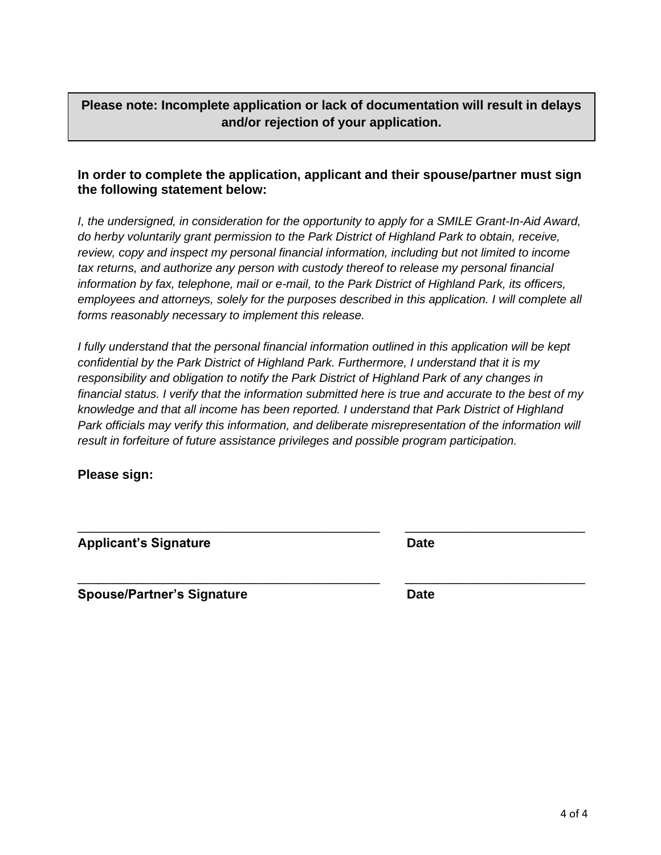### **In order to complete the application, applicant and their spouse/partner must sign the following statement below:**

**Please note: Incomplete application or lack of documentation will result in delays and/or rejection of your application.**

*I, the undersigned, in consideration for the opportunity to apply for a SMILE Grant-In-Aid Award, do herby voluntarily grant permission to the Park District of Highland Park to obtain, receive, review, copy and inspect my personal financial information, including but not limited to income tax returns, and authorize any person with custody thereof to release my personal financial information by fax, telephone, mail or e-mail, to the Park District of Highland Park, its officers, employees and attorneys, solely for the purposes described in this application. I will complete all forms reasonably necessary to implement this release.* 

*I fully understand that the personal financial information outlined in this application will be kept confidential by the Park District of Highland Park. Furthermore, I understand that it is my responsibility and obligation to notify the Park District of Highland Park of any changes in financial status. I verify that the information submitted here is true and accurate to the best of my knowledge and that all income has been reported. I understand that Park District of Highland Park officials may verify this information, and deliberate misrepresentation of the information will result in forfeiture of future assistance privileges and possible program participation.* 

\_\_\_\_\_\_\_\_\_\_\_\_\_\_\_\_\_\_\_\_\_\_\_\_\_\_\_\_\_\_\_\_\_\_\_\_\_\_\_\_\_\_ \_\_\_\_\_\_\_\_\_\_\_\_\_\_\_\_\_\_\_\_\_\_\_\_\_

\_\_\_\_\_\_\_\_\_\_\_\_\_\_\_\_\_\_\_\_\_\_\_\_\_\_\_\_\_\_\_\_\_\_\_\_\_\_\_\_\_\_ \_\_\_\_\_\_\_\_\_\_\_\_\_\_\_\_\_\_\_\_\_\_\_\_\_

**Please sign:**

| <b>Applicant's Signature</b> | <b>Date</b> |
|------------------------------|-------------|
|                              |             |

**Spouse/Partner's Signature discussed by Date**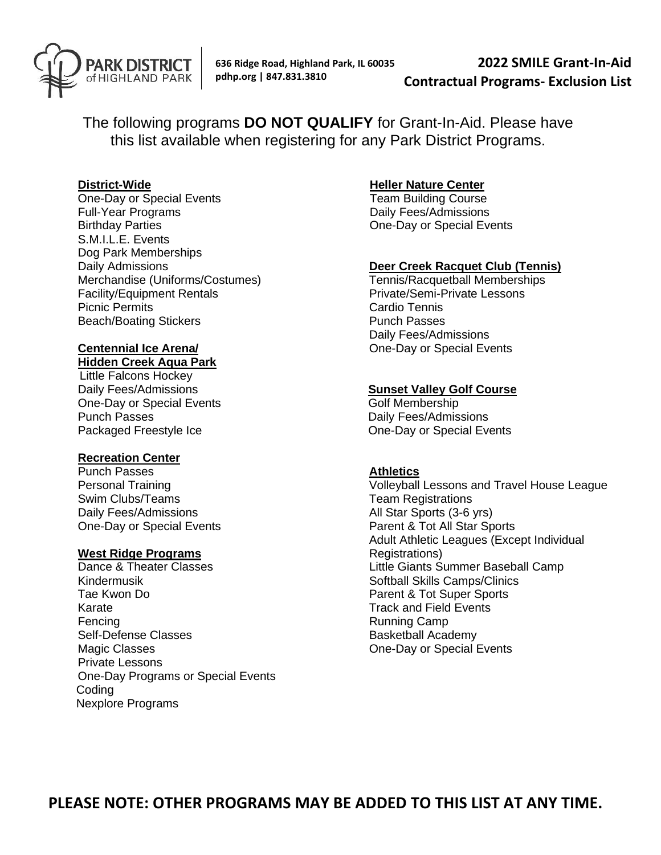

**636 Ridge Road, Highland Park, IL 60035 pdhp.org | 847.831.3810**

**2022 SMILE Grant-In-Aid Contractual Programs- Exclusion List**

The following programs **DO NOT QUALIFY** for Grant-In-Aid. Please have this list available when registering for any Park District Programs.

#### **District-Wide**

One-Day or Special Events Full-Year Programs Birthday Parties S.M.I.L.E. Events Dog Park Memberships Daily Admissions Merchandise (Uniforms/Costumes) Facility/Equipment Rentals Picnic Permits Beach/Boating Stickers

# **Centennial Ice Arena/**

## **Hidden Creek Aqua Park**

 Little Falcons Hockey Daily Fees/Admissions One-Day or Special Events Punch Passes Packaged Freestyle Ice

#### **Recreation Center**

Punch Passes Personal Training Swim Clubs/Teams Daily Fees/Admissions One-Day or Special Events

#### **West Ridge Programs**

Dance & Theater Classes Kindermusik Tae Kwon Do Karate Fencing Self-Defense Classes Magic Classes Private Lessons One-Day Programs or Special Events **Coding** Nexplore Programs

#### **Heller Nature Center**

 Team Building Course Daily Fees/Admissions One-Day or Special Events

#### **Deer Creek Racquet Club (Tennis)**

Tennis/Racquetball Memberships Private/Semi-Private Lessons Cardio Tennis Punch Passes Daily Fees/Admissions One-Day or Special Events

#### **Sunset Valley Golf Course**

Golf Membership Daily Fees/Admissions One-Day or Special Events

#### **Athletics**

Volleyball Lessons and Travel House League Team Registrations All Star Sports (3-6 yrs) Parent & Tot All Star Sports Adult Athletic Leagues (Except Individual Registrations) Little Giants Summer Baseball Camp Softball Skills Camps/Clinics Parent & Tot Super Sports Track and Field Events Running Camp Basketball Academy One-Day or Special Events